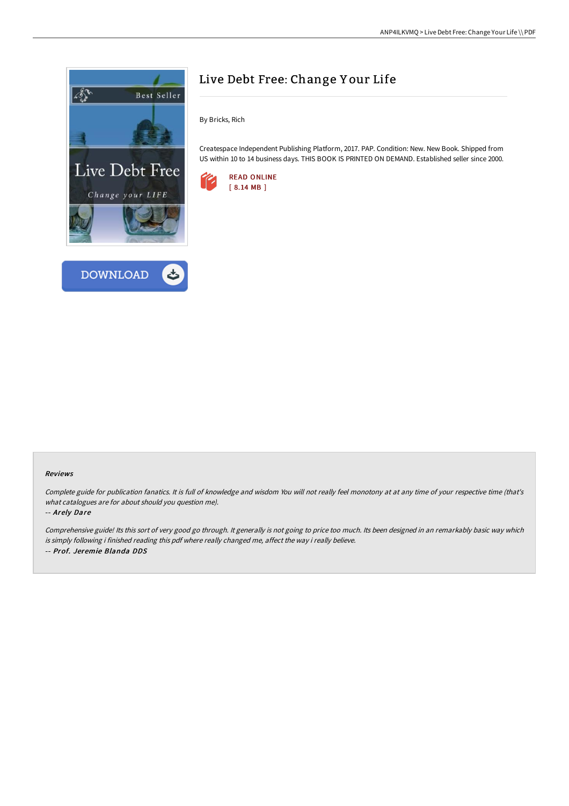



# Live Debt Free: Change Y our Life

By Bricks, Rich

Createspace Independent Publishing Platform, 2017. PAP. Condition: New. New Book. Shipped from US within 10 to 14 business days. THIS BOOK IS PRINTED ON DEMAND. Established seller since 2000.



#### Reviews

Complete guide for publication fanatics. It is full of knowledge and wisdom You will not really feel monotony at at any time of your respective time (that's what catalogues are for about should you question me).

-- Arely Dare

Comprehensive guide! Its this sort of very good go through. It generally is not going to price too much. Its been designed in an remarkably basic way which is simply following i finished reading this pdf where really changed me, affect the way i really believe. -- Prof. Jeremie Blanda DDS